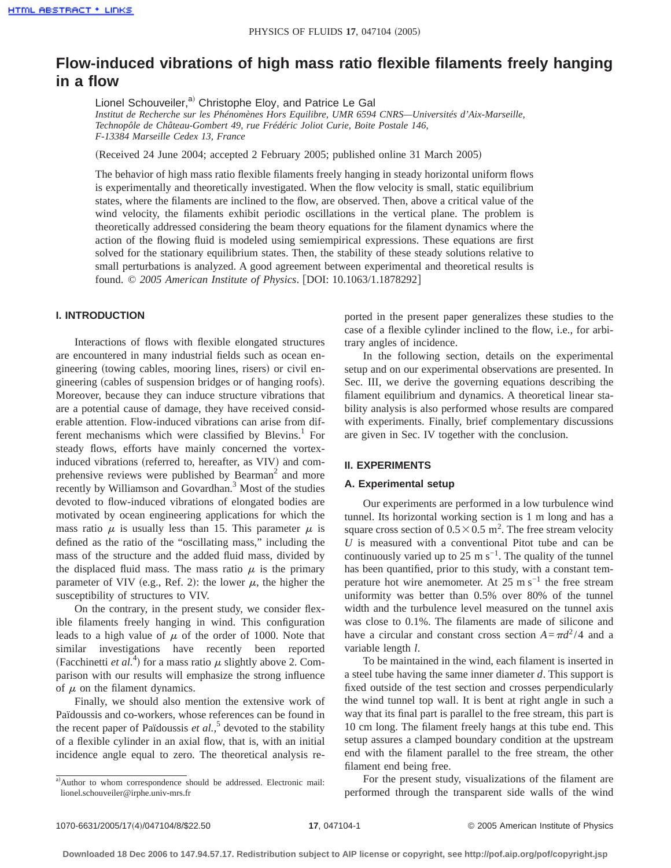# **Flow-induced vibrations of high mass ratio flexible filaments freely hanging in a flow**

Lionel Schouveiler,<sup>a)</sup> Christophe Eloy, and Patrice Le Gal *Institut de Recherche sur les Phénomènes Hors Equilibre, UMR 6594 CNRS—Universités d'Aix-Marseille, Technopôle de Château-Gombert 49, rue Frédéric Joliot Curie, Boite Postale 146, F-13384 Marseille Cedex 13, France*

(Received 24 June 2004; accepted 2 February 2005; published online 31 March 2005)

The behavior of high mass ratio flexible filaments freely hanging in steady horizontal uniform flows is experimentally and theoretically investigated. When the flow velocity is small, static equilibrium states, where the filaments are inclined to the flow, are observed. Then, above a critical value of the wind velocity, the filaments exhibit periodic oscillations in the vertical plane. The problem is theoretically addressed considering the beam theory equations for the filament dynamics where the action of the flowing fluid is modeled using semiempirical expressions. These equations are first solved for the stationary equilibrium states. Then, the stability of these steady solutions relative to small perturbations is analyzed. A good agreement between experimental and theoretical results is found. © 2005 American Institute of Physics. [DOI: 10.1063/1.1878292]

# **I. INTRODUCTION**

Interactions of flows with flexible elongated structures are encountered in many industrial fields such as ocean engineering (towing cables, mooring lines, risers) or civil engineering (cables of suspension bridges or of hanging roofs). Moreover, because they can induce structure vibrations that are a potential cause of damage, they have received considerable attention. Flow-induced vibrations can arise from different mechanisms which were classified by Blevins.<sup>1</sup> For steady flows, efforts have mainly concerned the vortexinduced vibrations (referred to, hereafter, as VIV) and comprehensive reviews were published by Bearman<sup>2</sup> and more recently by Williamson and Govardhan.<sup>3</sup> Most of the studies devoted to flow-induced vibrations of elongated bodies are motivated by ocean engineering applications for which the mass ratio  $\mu$  is usually less than 15. This parameter  $\mu$  is defined as the ratio of the "oscillating mass," including the mass of the structure and the added fluid mass, divided by the displaced fluid mass. The mass ratio  $\mu$  is the primary parameter of VIV (e.g., Ref. 2): the lower  $\mu$ , the higher the susceptibility of structures to VIV.

On the contrary, in the present study, we consider flexible filaments freely hanging in wind. This configuration leads to a high value of  $\mu$  of the order of 1000. Note that similar investigations have recently been reported (Facchinetti *et al.*<sup>4</sup>) for a mass ratio  $\mu$  slightly above 2. Comparison with our results will emphasize the strong influence of  $\mu$  on the filament dynamics.

Finally, we should also mention the extensive work of Païdoussis and co-workers, whose references can be found in the recent paper of Païdoussis *et al.*, <sup>5</sup> devoted to the stability of a flexible cylinder in an axial flow, that is, with an initial incidence angle equal to zero. The theoretical analysis reported in the present paper generalizes these studies to the case of a flexible cylinder inclined to the flow, i.e., for arbitrary angles of incidence.

In the following section, details on the experimental setup and on our experimental observations are presented. In Sec. III, we derive the governing equations describing the filament equilibrium and dynamics. A theoretical linear stability analysis is also performed whose results are compared with experiments. Finally, brief complementary discussions are given in Sec. IV together with the conclusion.

# **II. EXPERIMENTS**

## **A. Experimental setup**

Our experiments are performed in a low turbulence wind tunnel. Its horizontal working section is 1 m long and has a square cross section of  $0.5 \times 0.5$  m<sup>2</sup>. The free stream velocity *U* is measured with a conventional Pitot tube and can be continuously varied up to 25 m s<sup> $-1$ </sup>. The quality of the tunnel has been quantified, prior to this study, with a constant temperature hot wire anemometer. At  $25 \text{ m s}^{-1}$  the free stream uniformity was better than 0.5% over 80% of the tunnel width and the turbulence level measured on the tunnel axis was close to 0.1%. The filaments are made of silicone and have a circular and constant cross section  $A = \pi d^2 / 4$  and a variable length *l*.

To be maintained in the wind, each filament is inserted in a steel tube having the same inner diameter *d*. This support is fixed outside of the test section and crosses perpendicularly the wind tunnel top wall. It is bent at right angle in such a way that its final part is parallel to the free stream, this part is 10 cm long. The filament freely hangs at this tube end. This setup assures a clamped boundary condition at the upstream end with the filament parallel to the free stream, the other filament end being free.

For the present study, visualizations of the filament are performed through the transparent side walls of the wind

a)Author to whom correspondence should be addressed. Electronic mail: lionel.schouveiler@irphe.univ-mrs.fr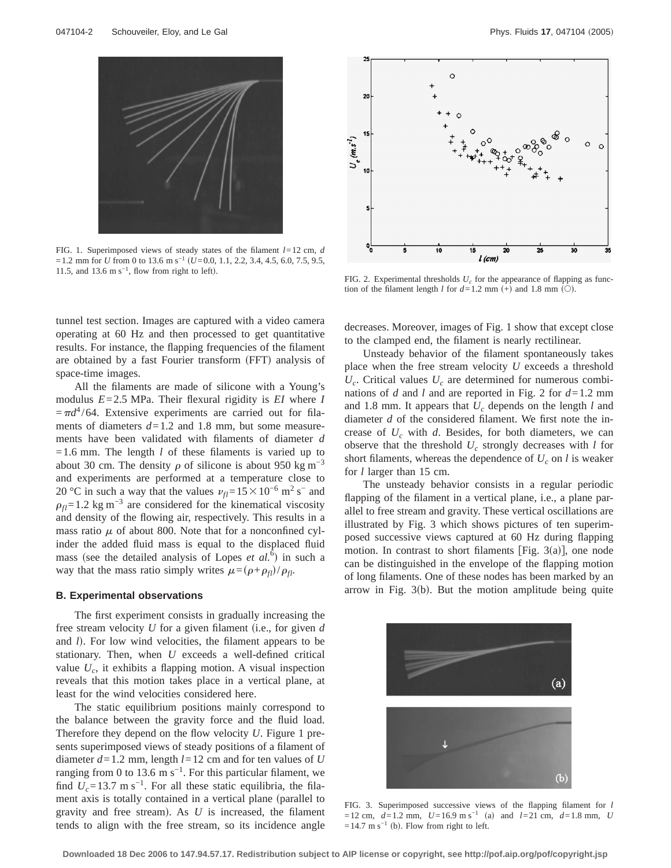

FIG. 1. Superimposed views of steady states of the filament *l*=12 cm, *d* =1.2 mm for *U* from 0 to 13.6 m s<sup>-1</sup> (*U*=0.0, 1.1, 2.2, 3.4, 4.5, 6.0, 7.5, 9.5, 11.5, and 13.6 m s<sup>-1</sup>, flow from right to left). FIG. 2. Experimental thresholds  $U_c$  for the appearance of flapping as func-

tunnel test section. Images are captured with a video camera operating at 60 Hz and then processed to get quantitative results. For instance, the flapping frequencies of the filament are obtained by a fast Fourier transform (FFT) analysis of space-time images.

All the filaments are made of silicone with a Young's modulus *E*=2.5 MPa. Their flexural rigidity is *EI* where *I*  $=\pi d^4/64$ . Extensive experiments are carried out for filaments of diameters  $d=1.2$  and 1.8 mm, but some measurements have been validated with filaments of diameter *d*  $=1.6$  mm. The length *l* of these filaments is varied up to about 30 cm. The density  $\rho$  of silicone is about 950 kg m<sup>-3</sup> and experiments are performed at a temperature close to 20 °C in such a way that the values  $v_{fl}$ =15 × 10<sup>-6</sup> m<sup>2</sup> s<sup>−</sup> and  $\rho_f$ =1.2 kg m<sup>-3</sup> are considered for the kinematical viscosity and density of the flowing air, respectively. This results in a mass ratio  $\mu$  of about 800. Note that for a nonconfined cylinder the added fluid mass is equal to the displaced fluid mass (see the detailed analysis of Lopes *et al.*<sup> $\bar{6}$ </sup>) in such a way that the mass ratio simply writes  $\mu = (\rho + \rho_f)/\rho_f$ .

### **B. Experimental observations**

The first experiment consists in gradually increasing the free stream velocity  $U$  for a given filament (i.e., for given  $d$ and *l*). For low wind velocities, the filament appears to be stationary. Then, when *U* exceeds a well-defined critical value  $U_c$ , it exhibits a flapping motion. A visual inspection reveals that this motion takes place in a vertical plane, at least for the wind velocities considered here.

The static equilibrium positions mainly correspond to the balance between the gravity force and the fluid load. Therefore they depend on the flow velocity *U*. Figure 1 presents superimposed views of steady positions of a filament of diameter  $d=1.2$  mm, length  $l=12$  cm and for ten values of *U* ranging from 0 to 13.6 m s<sup>-1</sup>. For this particular filament, we find  $U_c$ =13.7 m s<sup>-1</sup>. For all these static equilibria, the filament axis is totally contained in a vertical plane (parallel to gravity and free stream). As  $U$  is increased, the filament tends to align with the free stream, so its incidence angle



tion of the filament length  $l$  for  $d=1.2$  mm  $(+)$  and 1.8 mm  $(()$ .

decreases. Moreover, images of Fig. 1 show that except close to the clamped end, the filament is nearly rectilinear.

Unsteady behavior of the filament spontaneously takes place when the free stream velocity *U* exceeds a threshold  $U_c$ . Critical values  $U_c$  are determined for numerous combinations of *d* and *l* and are reported in Fig. 2 for *d*=1.2 mm and 1.8 mm. It appears that  $U_c$  depends on the length *l* and diameter *d* of the considered filament. We first note the increase of  $U_c$  with  $d$ . Besides, for both diameters, we can observe that the threshold *Uc* strongly decreases with *l* for short filaments, whereas the dependence of  $U_c$  on *l* is weaker for *l* larger than 15 cm.

The unsteady behavior consists in a regular periodic flapping of the filament in a vertical plane, i.e., a plane parallel to free stream and gravity. These vertical oscillations are illustrated by Fig. 3 which shows pictures of ten superimposed successive views captured at 60 Hz during flapping motion. In contrast to short filaments [Fig. 3(a)], one node can be distinguished in the envelope of the flapping motion of long filaments. One of these nodes has been marked by an arrow in Fig.  $3(b)$ . But the motion amplitude being quite



FIG. 3. Superimposed successive views of the flapping filament for *l*  $=12$  cm,  $d=1.2$  mm,  $U=16.9$  m s<sup>-1</sup> (a) and  $l=21$  cm,  $d=1.8$  mm, *U*  $=14.7 \text{ m s}^{-1}$  (b). Flow from right to left.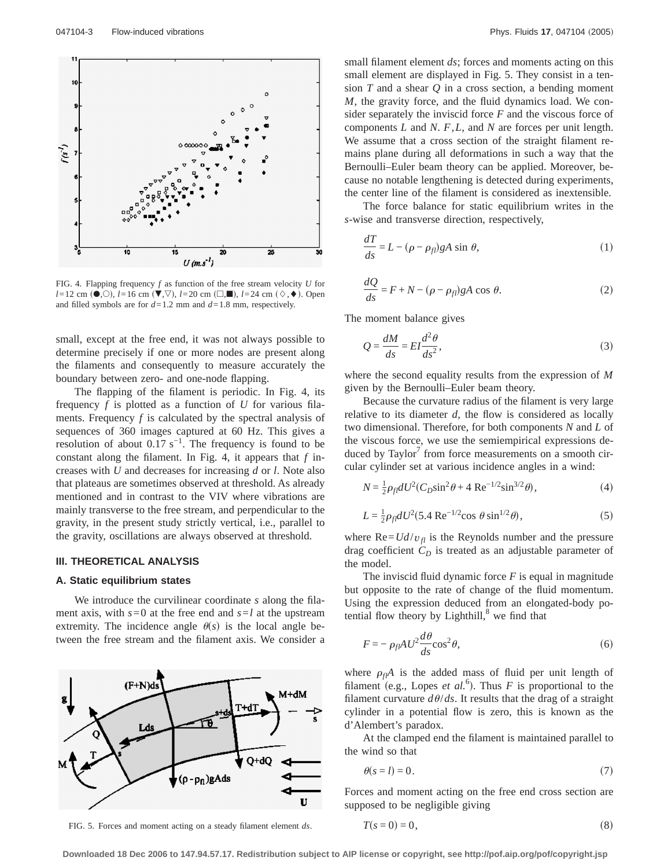

FIG. 4. Flapping frequency *f* as function of the free stream velocity *U* for *l*=12 cm ( $\bullet$ , $\odot$ ), *l*=16 cm ( $\blacktriangledown$ , *l*=20 cm ( $\Box$ , $\blacksquare$ ), *l*=24 cm ( $\Diamond$ , $\bullet$ ). Open and filled symbols are for  $d=1.2$  mm and  $d=1.8$  mm, respectively.

small, except at the free end, it was not always possible to determine precisely if one or more nodes are present along the filaments and consequently to measure accurately the boundary between zero- and one-node flapping.

The flapping of the filament is periodic. In Fig. 4, its frequency *f* is plotted as a function of *U* for various filaments. Frequency *f* is calculated by the spectral analysis of sequences of 360 images captured at 60 Hz. This gives a resolution of about  $0.17 \text{ s}^{-1}$ . The frequency is found to be constant along the filament. In Fig. 4, it appears that *f* increases with *U* and decreases for increasing *d* or *l*. Note also that plateaus are sometimes observed at threshold. As already mentioned and in contrast to the VIV where vibrations are mainly transverse to the free stream, and perpendicular to the gravity, in the present study strictly vertical, i.e., parallel to the gravity, oscillations are always observed at threshold.

# **III. THEORETICAL ANALYSIS**

# **A. Static equilibrium states**

We introduce the curvilinear coordinate *s* along the filament axis, with  $s=0$  at the free end and  $s=l$  at the upstream extremity. The incidence angle  $\theta(s)$  is the local angle between the free stream and the filament axis. We consider a



FIG. 5. Forces and moment acting on a steady filament element *ds*.  $\overline{a}$ 

small filament element *ds*; forces and moments acting on this small element are displayed in Fig. 5. They consist in a tension *T* and a shear *Q* in a cross section, a bending moment *M*, the gravity force, and the fluid dynamics load. We consider separately the inviscid force *F* and the viscous force of components *L* and *N*. *F*,*L*, and *N* are forces per unit length. We assume that a cross section of the straight filament remains plane during all deformations in such a way that the Bernoulli–Euler beam theory can be applied. Moreover, because no notable lengthening is detected during experiments, the center line of the filament is considered as inextensible.

The force balance for static equilibrium writes in the *s*-wise and transverse direction, respectively,

$$
\frac{dT}{ds} = L - (\rho - \rho_{fl})gA \sin \theta, \qquad (1)
$$

$$
\frac{dQ}{ds} = F + N - (\rho - \rho_{fl})gA \cos \theta.
$$
 (2)

The moment balance gives

$$
Q = \frac{dM}{ds} = EI \frac{d^2 \theta}{ds^2},\tag{3}
$$

where the second equality results from the expression of *M* given by the Bernoulli–Euler beam theory.

Because the curvature radius of the filament is very large relative to its diameter *d*, the flow is considered as locally two dimensional. Therefore, for both components *N* and *L* of the viscous force, we use the semiempirical expressions deduced by  $Taylor'$  from force measurements on a smooth circular cylinder set at various incidence angles in a wind:

$$
N = \frac{1}{2} \rho_{fl} dU^2 (C_D \sin^2 \theta + 4 \text{ Re}^{-1/2} \sin^{3/2} \theta), \tag{4}
$$

$$
L = \frac{1}{2} \rho_{fl} dU^2 (5.4 \text{ Re}^{-1/2} \cos \theta \sin^{1/2} \theta), \tag{5}
$$

where  $\text{Re} = U d/v_{fl}$  is the Reynolds number and the pressure drag coefficient  $C_D$  is treated as an adjustable parameter of the model.

The inviscid fluid dynamic force *F* is equal in magnitude but opposite to the rate of change of the fluid momentum. Using the expression deduced from an elongated-body potential flow theory by Lighthill, $\delta$  we find that

$$
F = -\rho_{fl} A U^2 \frac{d\theta}{ds} \cos^2 \theta, \tag{6}
$$

where  $\rho_f A$  is the added mass of fluid per unit length of filament (e.g., Lopes *et al.*<sup>6</sup>). Thus  $F$  is proportional to the filament curvature  $d\theta/ds$ . It results that the drag of a straight cylinder in a potential flow is zero, this is known as the d'Alembert's paradox.

At the clamped end the filament is maintained parallel to the wind so that

$$
\theta(s=l) = 0.\tag{7}
$$

Forces and moment acting on the free end cross section are supposed to be negligible giving

$$
T(s=0)=0,\t\t(8)
$$

**Downloaded 18 Dec 2006 to 147.94.57.17. Redistribution subject to AIP license or copyright, see http://pof.aip.org/pof/copyright.jsp**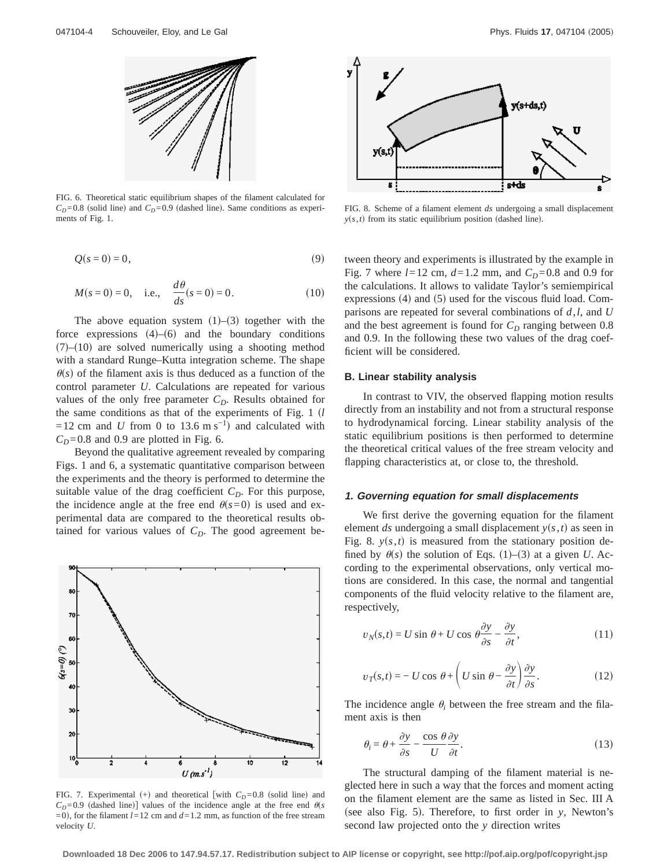

FIG. 6. Theoretical static equilibrium shapes of the filament calculated for  $C_D = 0.8$  (solid line) and  $C_D = 0.9$  (dashed line). Same conditions as experiments of Fig. 1.

$$
Q(s=0) = 0,\t\t(9)
$$

$$
M(s=0) = 0
$$
, i.e.,  $\frac{d\theta}{ds}(s=0) = 0$ . (10)

The above equation system  $(1)$ – $(3)$  together with the force expressions  $(4)$ – $(6)$  and the boundary conditions  $(7)$ – $(10)$  are solved numerically using a shooting method with a standard Runge–Kutta integration scheme. The shape  $\theta(s)$  of the filament axis is thus deduced as a function of the control parameter *U*. Calculations are repeated for various values of the only free parameter  $C_D$ . Results obtained for the same conditions as that of the experiments of Fig.  $1 \; (l)$  $=12$  cm and *U* from 0 to 13.6 m s<sup>-1</sup>) and calculated with  $C<sub>D</sub>=0.8$  and 0.9 are plotted in Fig. 6.

Beyond the qualitative agreement revealed by comparing Figs. 1 and 6, a systematic quantitative comparison between the experiments and the theory is performed to determine the suitable value of the drag coefficient  $C<sub>D</sub>$ . For this purpose, the incidence angle at the free end  $\theta(s=0)$  is used and experimental data are compared to the theoretical results obtained for various values of  $C<sub>D</sub>$ . The good agreement be-



FIG. 7. Experimental  $(+)$  and theoretical [with  $C_D = 0.8$  (solid line) and  $C_D$ =0.9 (dashed line)] values of the incidence angle at the free end  $\theta(s)$  $(1, 0)$ , for the filament  $l = 12$  cm and  $d = 1.2$  mm, as function of the free stream velocity *U*.



FIG. 8. Scheme of a filament element *ds* undergoing a small displacement  $y(s, t)$  from its static equilibrium position (dashed line).

tween theory and experiments is illustrated by the example in Fig. 7 where  $l = 12$  cm,  $d = 1.2$  mm, and  $C_p = 0.8$  and 0.9 for the calculations. It allows to validate Taylor's semiempirical expressions  $(4)$  and  $(5)$  used for the viscous fluid load. Comparisons are repeated for several combinations of *d*,*l*, and *U* and the best agreement is found for  $C_D$  ranging between 0.8 and 0.9. In the following these two values of the drag coefficient will be considered.

# **B. Linear stability analysis**

In contrast to VIV, the observed flapping motion results directly from an instability and not from a structural response to hydrodynamical forcing. Linear stability analysis of the static equilibrium positions is then performed to determine the theoretical critical values of the free stream velocity and flapping characteristics at, or close to, the threshold.

#### **1. Governing equation for small displacements**

We first derive the governing equation for the filament element *ds* undergoing a small displacement  $y(s, t)$  as seen in Fig. 8.  $y(s,t)$  is measured from the stationary position defined by  $\theta(s)$  the solution of Eqs. (1)–(3) at a given *U*. According to the experimental observations, only vertical motions are considered. In this case, the normal and tangential components of the fluid velocity relative to the filament are, respectively,

$$
v_N(s,t) = U \sin \theta + U \cos \theta \frac{\partial y}{\partial s} - \frac{\partial y}{\partial t},\tag{11}
$$

$$
v_T(s,t) = -U\cos\,\theta + \left(U\sin\,\theta - \frac{\partial y}{\partial t}\right)\frac{\partial y}{\partial s}.\tag{12}
$$

The incidence angle  $\theta_i$  between the free stream and the filament axis is then

$$
\theta_i = \theta + \frac{\partial y}{\partial s} - \frac{\cos \theta}{U} \frac{\partial y}{\partial t}.
$$
\n(13)

The structural damping of the filament material is neglected here in such a way that the forces and moment acting on the filament element are the same as listed in Sec. III A (see also Fig. 5). Therefore, to first order in *y*, Newton's second law projected onto the *y* direction writes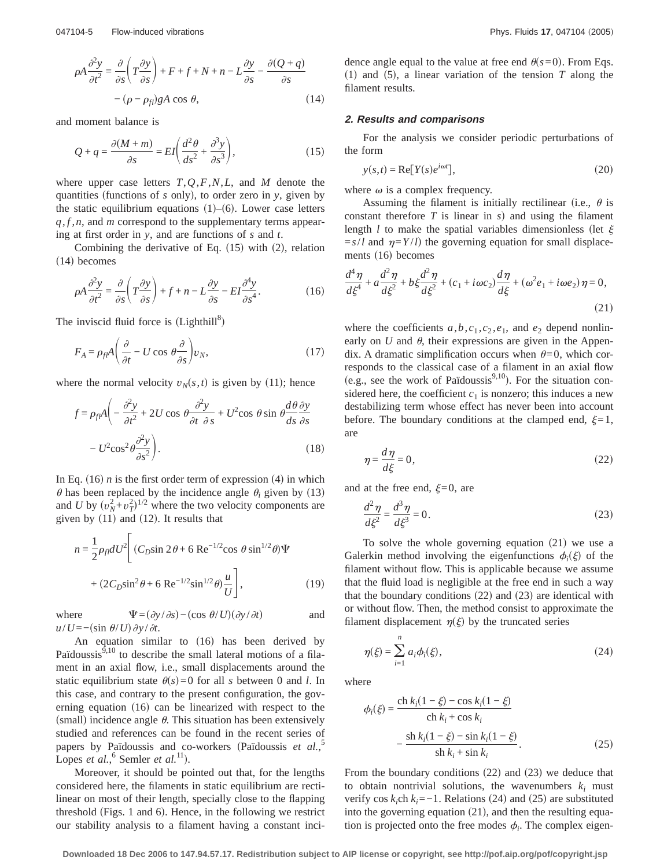$$
\rho A \frac{\partial^2 y}{\partial t^2} = \frac{\partial}{\partial s} \left( T \frac{\partial y}{\partial s} \right) + F + f + N + n - L \frac{\partial y}{\partial s} - \frac{\partial (Q + q)}{\partial s}
$$
  
-(\rho - \rho\_{fl}) gA \cos \theta, (14)

and moment balance is

$$
Q + q = \frac{\partial (M + m)}{\partial s} = EI \left( \frac{d^2 \theta}{ds^2} + \frac{\partial^3 y}{\partial s^3} \right),\tag{15}
$$

where upper case letters *T*,*Q*,*F*,*N*,*L*, and *M* denote the quantities (functions of *s* only), to order zero in *y*, given by the static equilibrium equations  $(1)$ – $(6)$ . Lower case letters *q*, *f* ,*n*, and *m* correspond to the supplementary terms appearing at first order in *y*, and are functions of *s* and *t*.

Combining the derivative of Eq.  $(15)$  with  $(2)$ , relation  $(14)$  becomes

$$
\rho A \frac{\partial^2 y}{\partial t^2} = \frac{\partial}{\partial s} \left( T \frac{\partial y}{\partial s} \right) + f + n - L \frac{\partial y}{\partial s} - EI \frac{\partial^4 y}{\partial s^4}.
$$
 (16)

The inviscid fluid force is  $(Lighthill<sup>8</sup>)$ 

$$
F_A = \rho_f \rho A \left( \frac{\partial}{\partial t} - U \cos \theta \frac{\partial}{\partial s} \right) v_N,
$$
\n(17)

where the normal velocity  $v_N(s, t)$  is given by (11); hence

$$
f = \rho_{fl} A \left( -\frac{\partial^2 y}{\partial t^2} + 2U \cos \theta \frac{\partial^2 y}{\partial t \partial s} + U^2 \cos \theta \sin \theta \frac{d\theta}{ds} \frac{\partial y}{\partial s} - U^2 \cos^2 \theta \frac{\partial^2 y}{\partial s^2} \right).
$$
 (18)

In Eq.  $(16)$  *n* is the first order term of expression  $(4)$  in which  $\theta$  has been replaced by the incidence angle  $\theta_i$  given by (13) and *U* by  $(v_N^2 + v_T^2)^{1/2}$  where the two velocity components are given by  $(11)$  and  $(12)$ . It results that

$$
n = \frac{1}{2} \rho_{fl} dU^2 \left[ (C_D \sin 2\theta + 6 \text{ Re}^{-1/2} \cos \theta \sin^{1/2} \theta) \Psi + (2C_D \sin^2 \theta + 6 \text{ Re}^{-1/2} \sin^{1/2} \theta) \frac{u}{U} \right],
$$
 (19)

where  $\Psi = (\partial y / \partial s) - (\cos \theta / U)(\partial y / \partial t)$  and  $u/U = -(sin \theta/U) \partial y/\partial t$ .

An equation similar to (16) has been derived by Païdoussis $^{9,10}$  to describe the small lateral motions of a filament in an axial flow, i.e., small displacements around the static equilibrium state  $\theta(s) = 0$  for all *s* between 0 and *l*. In this case, and contrary to the present configuration, the governing equation  $(16)$  can be linearized with respect to the (small) incidence angle  $\theta$ . This situation has been extensively studied and references can be found in the recent series of papers by Païdoussis and co-workers (Païdoussis *et al.*,<sup>5</sup> Lopes *et al.*,<sup>6</sup> Semler *et al.*<sup>11</sup>).

Moreover, it should be pointed out that, for the lengths considered here, the filaments in static equilibrium are rectilinear on most of their length, specially close to the flapping threshold (Figs. 1 and 6). Hence, in the following we restrict our stability analysis to a filament having a constant incidence angle equal to the value at free end  $\theta(s=0)$ . From Eqs.  $(1)$  and  $(5)$ , a linear variation of the tension *T* along the filament results.

## **2. Results and comparisons**

For the analysis we consider periodic perturbations of the form

$$
y(s,t) = \text{Re}[Y(s)e^{i\omega t}],
$$
\n(20)

where  $\omega$  is a complex frequency.

Assuming the filament is initially rectilinear (i.e.,  $\theta$  is constant therefore  $T$  is linear in  $s$ ) and using the filament length *l* to make the spatial variables dimensionless (let  $\xi$  $= s/l$  and  $\eta = Y/l$  the governing equation for small displacements  $(16)$  becomes

$$
\frac{d^4\eta}{d\xi^4} + a\frac{d^2\eta}{d\xi^2} + b\xi\frac{d^2\eta}{d\xi^2} + (c_1 + i\omega c_2)\frac{d\eta}{d\xi} + (\omega^2 e_1 + i\omega e_2)\eta = 0,
$$
\n(21)

where the coefficients  $a, b, c_1, c_2, e_1$ , and  $e_2$  depend nonlinearly on  $U$  and  $\theta$ , their expressions are given in the Appendix. A dramatic simplification occurs when  $\theta=0$ , which corresponds to the classical case of a filament in an axial flow (e.g., see the work of Païdoussis $9,10$ ). For the situation considered here, the coefficient  $c_1$  is nonzero; this induces a new destabilizing term whose effect has never been into account before. The boundary conditions at the clamped end,  $\xi=1$ , are

$$
\eta = \frac{d\eta}{d\xi} = 0,\tag{22}
$$

and at the free end,  $\xi=0$ , are

$$
\frac{d^2\eta}{d\xi^2} = \frac{d^3\eta}{d\xi^3} = 0.
$$
\n(23)

To solve the whole governing equation  $(21)$  we use a Galerkin method involving the eigenfunctions  $\phi_i(\xi)$  of the filament without flow. This is applicable because we assume that the fluid load is negligible at the free end in such a way that the boundary conditions  $(22)$  and  $(23)$  are identical with or without flow. Then, the method consist to approximate the filament displacement  $\eta(\xi)$  by the truncated series

$$
\eta(\xi) = \sum_{i=1}^{n} a_i \phi_i(\xi),\tag{24}
$$

where

$$
\phi_i(\xi) = \frac{\text{ch } k_i(1-\xi) - \cos k_i(1-\xi)}{\text{ch } k_i + \cos k_i} - \frac{\text{sh } k_i(1-\xi) - \sin k_i(1-\xi)}{\text{sh } k_i + \sin k_i}.
$$
\n(25)

From the boundary conditions  $(22)$  and  $(23)$  we deduce that to obtain nontrivial solutions, the wavenumbers  $k_i$  must verify cos  $k_i$ ch  $k_i$ =−1. Relations (24) and (25) are substituted into the governing equation  $(21)$ , and then the resulting equation is projected onto the free modes  $\phi_i$ . The complex eigen-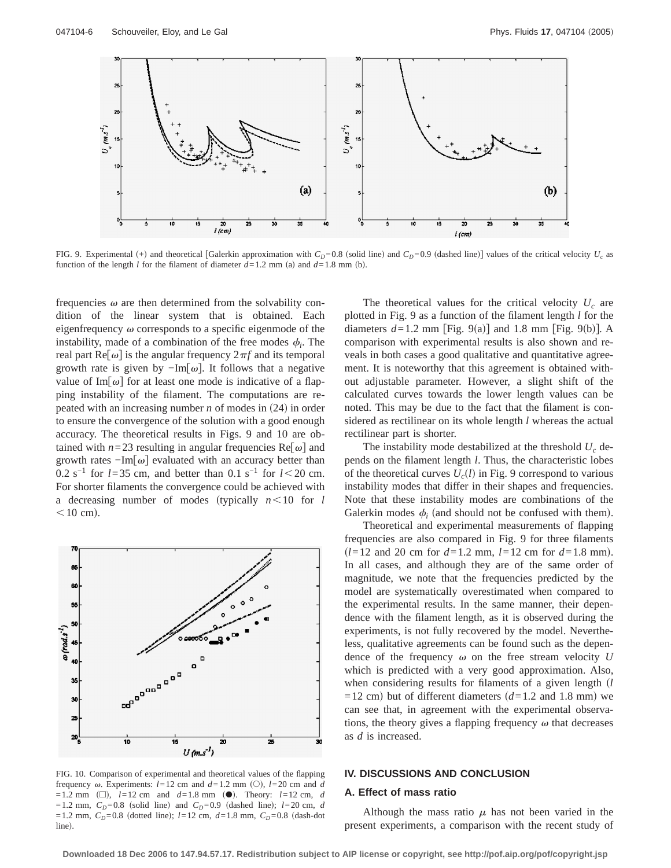

FIG. 9. Experimental (+) and theoretical [Galerkin approximation with  $C_D=0.8$  (solid line) and  $C_D=0.9$  (dashed line)] values of the critical velocity  $U_c$  as function of the length *l* for the filament of diameter  $d=1.2$  mm (a) and  $d=1.8$  mm (b).

frequencies  $\omega$  are then determined from the solvability condition of the linear system that is obtained. Each eigenfrequency  $\omega$  corresponds to a specific eigenmode of the instability, made of a combination of the free modes  $\phi_i$ . The real part Re $\lceil \omega \rceil$  is the angular frequency  $2\pi f$  and its temporal growth rate is given by  $-\text{Im}[\omega]$ . It follows that a negative value of Im $\lceil \omega \rceil$  for at least one mode is indicative of a flapping instability of the filament. The computations are repeated with an increasing number  $n$  of modes in  $(24)$  in order to ensure the convergence of the solution with a good enough accuracy. The theoretical results in Figs. 9 and 10 are obtained with  $n=23$  resulting in angular frequencies Re $[\omega]$  and growth rates  $-\text{Im}[\omega]$  evaluated with an accuracy better than 0.2 s<sup>-1</sup> for *l*=35 cm, and better than 0.1 s<sup>-1</sup> for *l* < 20 cm. For shorter filaments the convergence could be achieved with a decreasing number of modes (typically  $n < 10$  for *l*  $<$ 10 cm).



FIG. 10. Comparison of experimental and theoretical values of the flapping frequency  $\omega$ . Experiments:  $l=12$  cm and  $d=1.2$  mm (O),  $l=20$  cm and  $d$  $=1.2$  mm ( $\square$ ),  $l=12$  cm and  $d=1.8$  mm ( $\bullet$ ). Theory:  $l=12$  cm, *d*  $=1.2$  mm,  $C_D = 0.8$  (solid line) and  $C_D = 0.9$  (dashed line);  $l = 20$  cm, *d*  $=1.2$  mm,  $C_D = 0.8$  (dotted line);  $l=12$  cm,  $d=1.8$  mm,  $C_D = 0.8$  (dash-dot line).

The theoretical values for the critical velocity  $U_c$  are plotted in Fig. 9 as a function of the filament length *l* for the diameters  $d=1.2$  mm [Fig. 9(a)] and 1.8 mm [Fig. 9(b)]. A comparison with experimental results is also shown and reveals in both cases a good qualitative and quantitative agreement. It is noteworthy that this agreement is obtained without adjustable parameter. However, a slight shift of the calculated curves towards the lower length values can be noted. This may be due to the fact that the filament is considered as rectilinear on its whole length *l* whereas the actual rectilinear part is shorter.

The instability mode destabilized at the threshold  $U_c$  depends on the filament length *l*. Thus, the characteristic lobes of the theoretical curves  $U_c(l)$  in Fig. 9 correspond to various instability modes that differ in their shapes and frequencies. Note that these instability modes are combinations of the Galerkin modes  $\phi_i$  (and should not be confused with them).

Theoretical and experimental measurements of flapping frequencies are also compared in Fig. 9 for three filaments  $(l=12 \text{ and } 20 \text{ cm for } d=1.2 \text{ mm}, l=12 \text{ cm for } d=1.8 \text{ mm}.$ In all cases, and although they are of the same order of magnitude, we note that the frequencies predicted by the model are systematically overestimated when compared to the experimental results. In the same manner, their dependence with the filament length, as it is observed during the experiments, is not fully recovered by the model. Nevertheless, qualitative agreements can be found such as the dependence of the frequency  $\omega$  on the free stream velocity  $U$ which is predicted with a very good approximation. Also, when considering results for filaments of a given length (*l*  $=12$  cm) but of different diameters ( $d=1.2$  and 1.8 mm) we can see that, in agreement with the experimental observations, the theory gives a flapping frequency  $\omega$  that decreases as *d* is increased.

# **IV. DISCUSSIONS AND CONCLUSION**

## **A. Effect of mass ratio**

Although the mass ratio  $\mu$  has not been varied in the present experiments, a comparison with the recent study of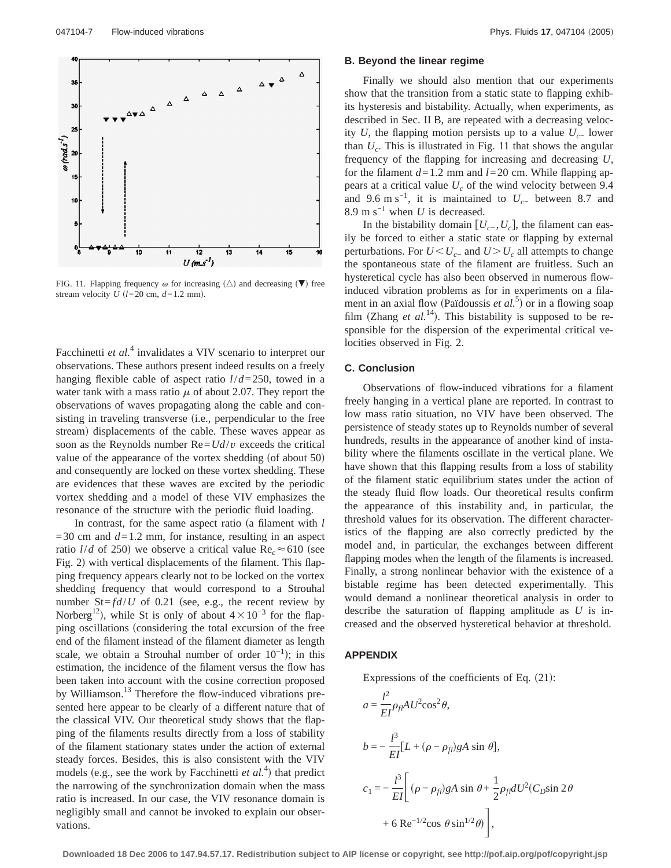

FIG. 11. Flapping frequency  $\omega$  for increasing  $(\triangle)$  and decreasing  $(\blacktriangledown)$  free stream velocity  $U$  ( $l=20$  cm,  $d=1.2$  mm).

Facchinetti *et al.*<sup>4</sup> invalidates a VIV scenario to interpret our observations. These authors present indeed results on a freely hanging flexible cable of aspect ratio *l*/*d*=250, towed in a water tank with a mass ratio  $\mu$  of about 2.07. They report the observations of waves propagating along the cable and consisting in traveling transverse (i.e., perpendicular to the free stream) displacements of the cable. These waves appear as soon as the Reynolds number  $\text{Re} = U d/v$  exceeds the critical value of the appearance of the vortex shedding (of about  $50$ ) and consequently are locked on these vortex shedding. These are evidences that these waves are excited by the periodic vortex shedding and a model of these VIV emphasizes the resonance of the structure with the periodic fluid loading.

In contrast, for the same aspect ratio (a filament with *l*  $=$  30 cm and  $d=1.2$  mm, for instance, resulting in an aspect ratio *l/d* of 250) we observe a critical value  $Re<sub>c</sub> \approx 610$  (see Fig. 2) with vertical displacements of the filament. This flapping frequency appears clearly not to be locked on the vortex shedding frequency that would correspond to a Strouhal number  $St = fd/U$  of 0.21 (see, e.g., the recent review by Norberg<sup>12</sup>), while St is only of about  $4 \times 10^{-3}$  for the flapping oscillations (considering the total excursion of the free end of the filament instead of the filament diameter as length scale, we obtain a Strouhal number of order  $10^{-1}$ ; in this estimation, the incidence of the filament versus the flow has been taken into account with the cosine correction proposed by Williamson.<sup>13</sup> Therefore the flow-induced vibrations presented here appear to be clearly of a different nature that of the classical VIV. Our theoretical study shows that the flapping of the filaments results directly from a loss of stability of the filament stationary states under the action of external steady forces. Besides, this is also consistent with the VIV models (e.g., see the work by Facchinetti  $et al.<sup>4</sup>$ ) that predict the narrowing of the synchronization domain when the mass ratio is increased. In our case, the VIV resonance domain is negligibly small and cannot be invoked to explain our observations.

## **B. Beyond the linear regime**

Finally we should also mention that our experiments show that the transition from a static state to flapping exhibits hysteresis and bistability. Actually, when experiments, as described in Sec. II B, are repeated with a decreasing velocity *U*, the flapping motion persists up to a value  $U_{c−}$  lower than *Uc*. This is illustrated in Fig. 11 that shows the angular frequency of the flapping for increasing and decreasing *U*, for the filament  $d=1.2$  mm and  $l=20$  cm. While flapping appears at a critical value  $U_c$  of the wind velocity between 9.4 and 9.6 m s<sup>-1</sup>, it is maintained to  $U_{c-}$  between 8.7 and 8.9 m s−1 when *U* is decreased.

In the bistability domain  $[U<sub>c</sub>$ ,  $U<sub>c</sub>$ ], the filament can easily be forced to either a static state or flapping by external perturbations. For  $U \leq U_{c-}$  and  $U > U_c$  all attempts to change the spontaneous state of the filament are fruitless. Such an hysteretical cycle has also been observed in numerous flowinduced vibration problems as for in experiments on a filament in an axial flow (Païdoussis *et al.*<sup>5</sup>) or in a flowing soap film (Zhang *et al.*<sup>14</sup>). This bistability is supposed to be responsible for the dispersion of the experimental critical velocities observed in Fig. 2.

## **C. Conclusion**

Observations of flow-induced vibrations for a filament freely hanging in a vertical plane are reported. In contrast to low mass ratio situation, no VIV have been observed. The persistence of steady states up to Reynolds number of several hundreds, results in the appearance of another kind of instability where the filaments oscillate in the vertical plane. We have shown that this flapping results from a loss of stability of the filament static equilibrium states under the action of the steady fluid flow loads. Our theoretical results confirm the appearance of this instability and, in particular, the threshold values for its observation. The different characteristics of the flapping are also correctly predicted by the model and, in particular, the exchanges between different flapping modes when the length of the filaments is increased. Finally, a strong nonlinear behavior with the existence of a bistable regime has been detected experimentally. This would demand a nonlinear theoretical analysis in order to describe the saturation of flapping amplitude as *U* is increased and the observed hysteretical behavior at threshold.

# **APPENDIX**

Expressions of the coefficients of Eq.  $(21)$ :

$$
a = \frac{l^2}{EI} \rho_{fl} AU^2 \cos^2 \theta,
$$
  
\n
$$
b = -\frac{l^3}{EI} [L + (\rho - \rho_{fl}) gA \sin \theta],
$$
  
\n
$$
c_1 = -\frac{l^3}{EI} \bigg[ (\rho - \rho_{fl}) gA \sin \theta + \frac{1}{2} \rho_{fl} dU^2 (C_D \sin 2\theta + 6 \text{ Re}^{-1/2} \cos \theta \sin^{1/2} \theta) \bigg],
$$